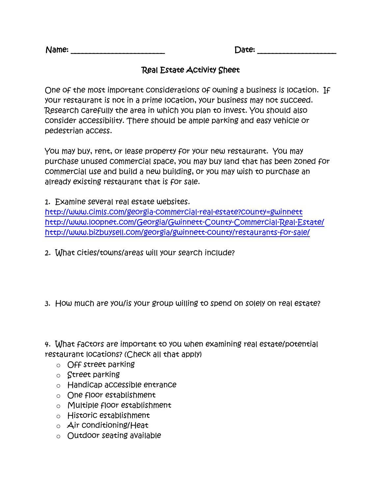| Name: | Date: |  |
|-------|-------|--|
|       |       |  |

## Real Estate Activity Sheet

One of the most important considerations of owning a business is location. If your restaurant is not in a prime location, your business may not succeed. Research carefully the area in which you plan to invest. You should also consider accessibility. There should be ample parking and easy vehicle or pedestrian access.

You may buy, rent, or lease property for your new restaurant. You may purchase unused commercial space, you may buy land that has been zoned for commercial use and build a new building, or you may wish to purchase an already existing restaurant that is for sale.

1. Examine several real estate websites.

<http://www.cimls.com/georgia-commercial-real-estate?county=gwinnett> <http://www.loopnet.com/Georgia/Gwinnett-County-Commercial-Real-Estate/> <http://www.bizbuysell.com/georgia/gwinnett-county/restaurants-for-sale/>

- 2. What cities/towns/areas will your search include?
- 3. How much are you/is your group willing to spend on solely on real estate?

4. What factors are important to you when examining real estate/potential restaurant locations? (Check all that apply)

- o Off street parking
- $\circ$  Street parking
- o Handicap accessible entrance
- o One floor establishment
- o Multiple floor establishment
- o Historic establishment
- $\circ$  Air conditioning/Heat
- o Outdoor seating available